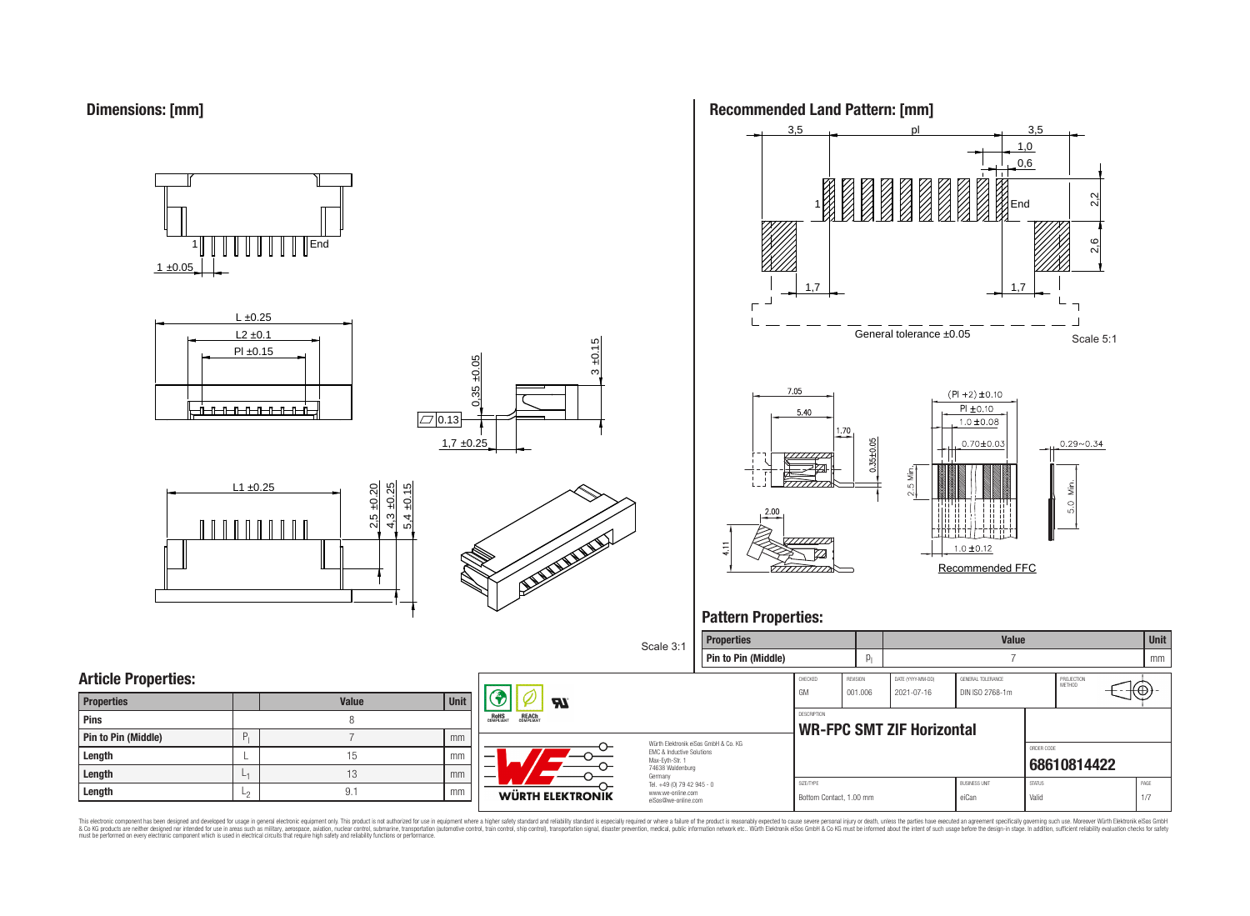

 $1 \pm 0.05$ 1 End











Recommended FFC

 $1.0 \pm 0.12$ 







This electronic component has been designed and developed for usage in general electronic equipment only. This product is not authorized for use in equipment where a higher safely standard and reliability standard si espec & Ook product a label and the membed of the seasuch as marked and as which such a membed and the such assume that income in the seasuch and the simulation and the such assume that include to the such a membed and the such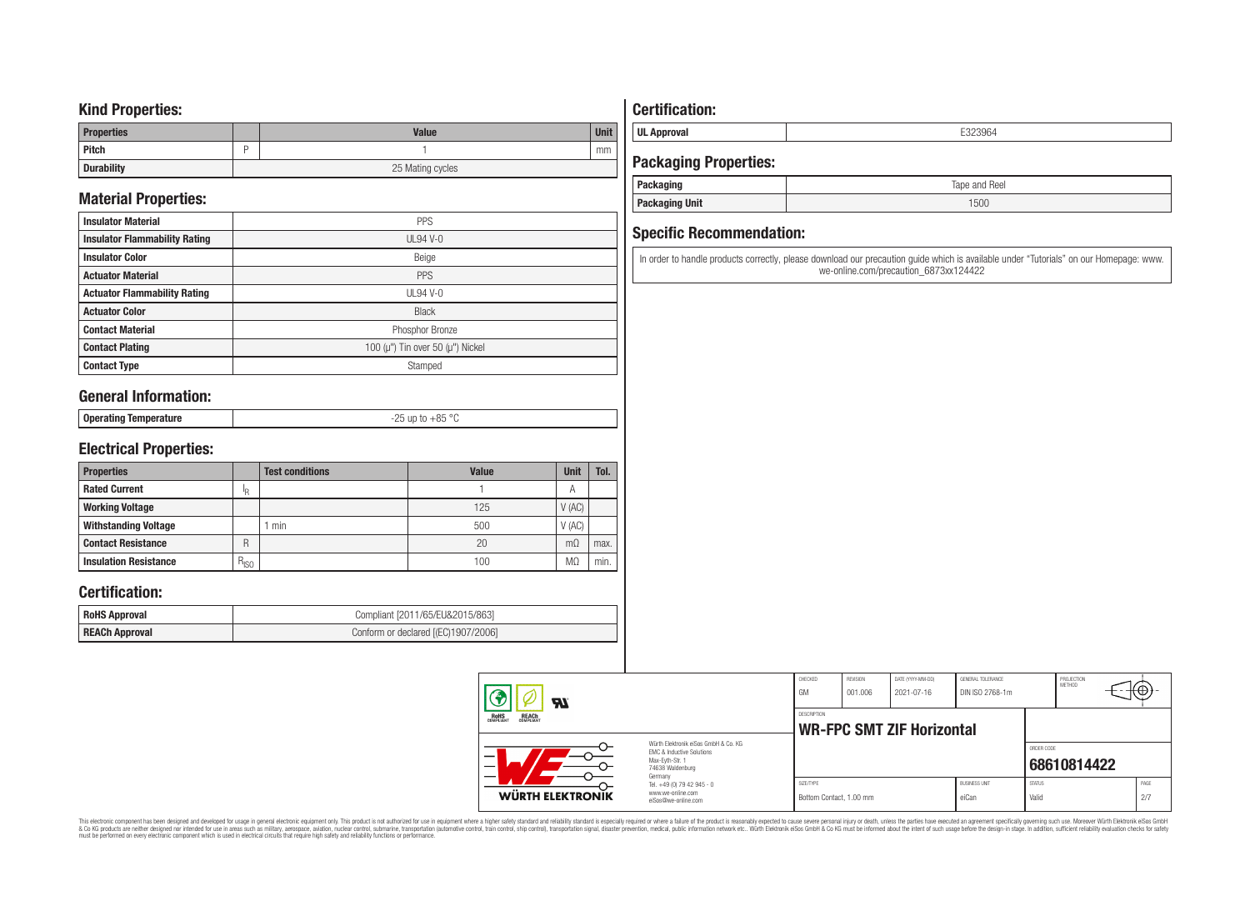## **Kind Properties:**

| <b>Properties</b> | <b>Value</b>     | <b>Unit</b> |  |  |
|-------------------|------------------|-------------|--|--|
| <b>Pitch</b>      |                  | mm          |  |  |
| <b>Durability</b> | 25 Mating cycles |             |  |  |

# **Material Properties:**

| <b>Insulator Material</b>            | PPS                                          |
|--------------------------------------|----------------------------------------------|
| <b>Insulator Flammability Rating</b> | $UL94V-0$                                    |
| <b>Insulator Color</b>               | Beige                                        |
| <b>Actuator Material</b>             | PPS                                          |
| <b>Actuator Flammability Rating</b>  | $UL94$ V-0                                   |
| <b>Actuator Color</b>                | <b>Black</b>                                 |
| <b>Contact Material</b>              | Phosphor Bronze                              |
| <b>Contact Plating</b>               | 100 ( $\mu$ ") Tin over 50 ( $\mu$ ") Nickel |
| <b>Contact Type</b>                  | Stamped                                      |

## **General Information:**

| <b>Onera</b><br>ັບບຸບເພເມະສ | $0E$ or<br>$-\circ$ |
|-----------------------------|---------------------|
|                             |                     |

# **Electrical Properties:**

| <b>Properties</b>            |           | <b>Test conditions</b> | <b>Value</b> | <b>Unit</b> | Tol. |
|------------------------------|-----------|------------------------|--------------|-------------|------|
| <b>Rated Current</b>         | ΙŖ        |                        |              | А           |      |
| <b>Working Voltage</b>       |           |                        | 125          | V(AC)       |      |
| <b>Withstanding Voltage</b>  |           | min                    | 500          | V(AC)       |      |
| <b>Contact Resistance</b>    | R         |                        | 20           | $m\Omega$   | max. |
| <b>Insulation Resistance</b> | $R_{ISO}$ |                        | 100          | MΩ          | min. |

## **Certification:**

| <b>RoHS Approval</b>  | Compliant [2011/65/EU&2015/863]     |
|-----------------------|-------------------------------------|
| <b>REACh Approval</b> | Conform or declared [(EC)1907/2006] |

# **Certification:**

**UL Approval** E323964

# **Packaging Properties:**

| <b>Packaging</b>      | Tape and Reel |
|-----------------------|---------------|
| <b>Packaging Unit</b> | 1500          |

## **Specific Recommendation:**

In order to handle products correctly, please download our precaution guide which is available under "Tutorials" on our Homepage: www. we-online.com/precaution\_6873xx124422

| ЯI                                                    |                                                                                                                     | CHECKED<br>GM                                   | REVISION<br>001.006 | DATE (YYYY-MM-DD)<br>2021-07-16 | GENERAL TOLERANCE<br>DIN ISO 2768-1m |                           | PROJECTION<br><b>METHOD</b> | ⊣t⊕∴        |
|-------------------------------------------------------|---------------------------------------------------------------------------------------------------------------------|-------------------------------------------------|---------------------|---------------------------------|--------------------------------------|---------------------------|-----------------------------|-------------|
| <b>REACH</b><br>COMPLIANT<br><b>ROHS</b><br>COMPLIANT |                                                                                                                     | DESCRIPTION<br><b>WR-FPC SMT ZIF Horizontal</b> |                     |                                 |                                      |                           |                             |             |
|                                                       | Würth Elektronik eiSos GmbH & Co. KG<br>EMC & Inductive Solutions<br>Max-Evth-Str. 1<br>74638 Waldenburg<br>Germany |                                                 |                     |                                 |                                      | ORDER CODE<br>68610814422 |                             |             |
| WÜRTH ELEKTRONIK                                      | Tel. +49 (0) 79 42 945 - 0<br>www.we-online.com<br>eiSos@we-online.com                                              | SIZE/TYPE<br>Bottom Contact, 1.00 mm            |                     |                                 | <b>BUSINESS UNIT</b><br>eiCan        | <b>STATUS</b><br>Valid    |                             | PAGE<br>2/7 |

This electronic component has been designed and developed for usage in general electronic equipment only. This product is not authorized for subserved requipment where a higher selection equipment where a higher selection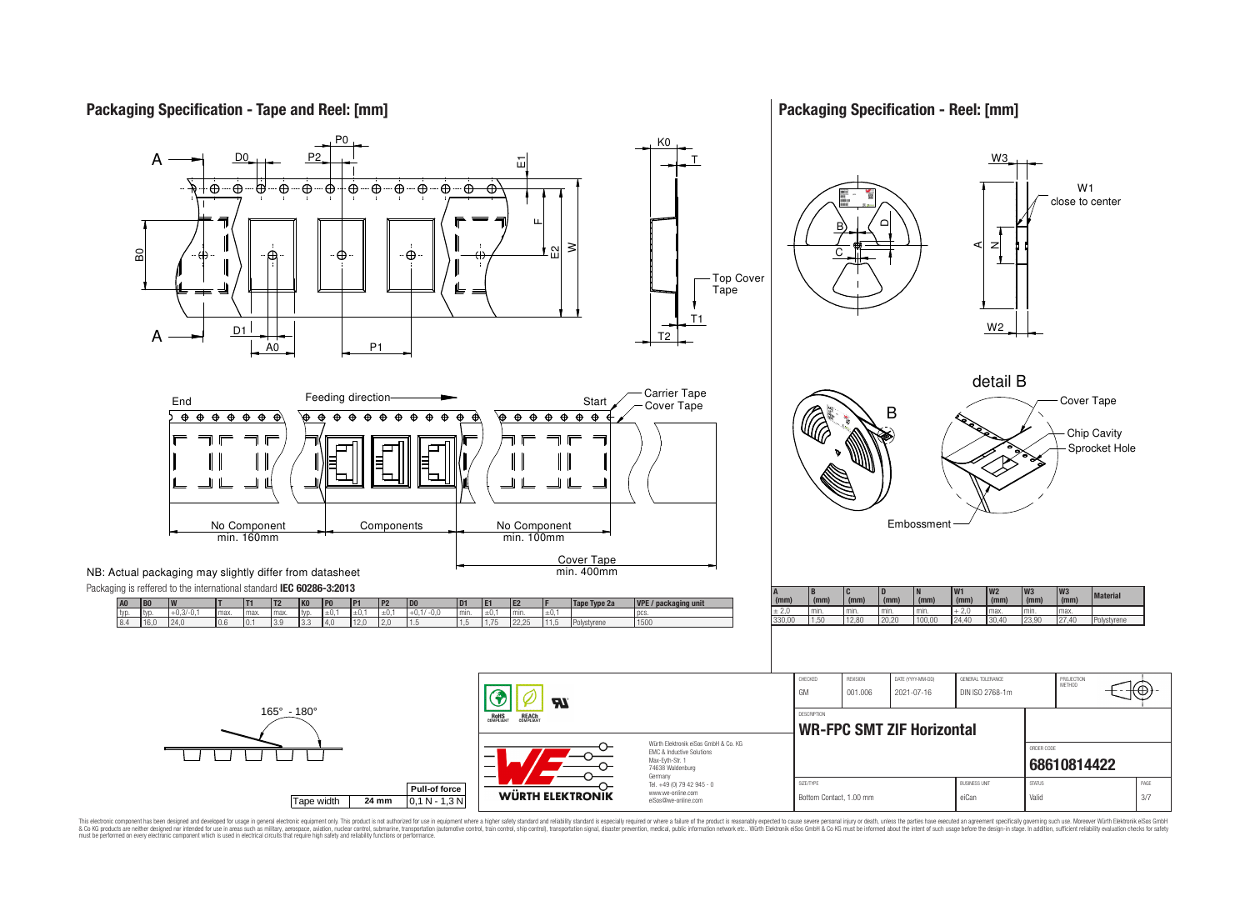**Packaging Specification - Tape and Reel: [mm]**

**Packaging Specification - Reel: [mm]**



This electronic component has been designed and developed for usage in general electronic equipment only. This product is not authorized for use in equipment where a higher safely standard and reliability standard si espec & Ook product a label and the membed of the seasuch as marked and as which such a membed and the such assume that income in the seasuch and the simulation and the such assume that include to the such a membed and the such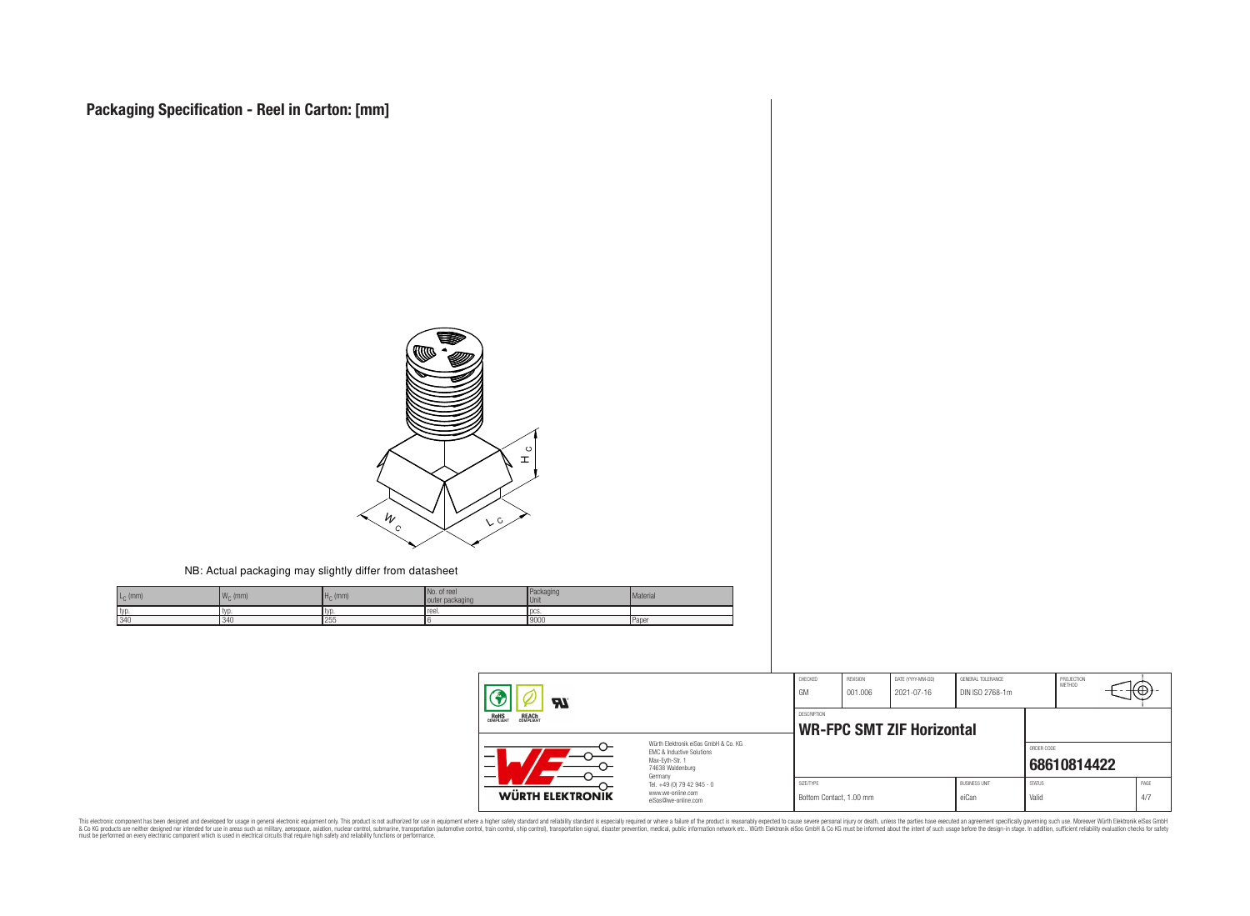

NB: Actual packaging may slightly differ from datasheet

| $L_{\rm C}$ (mm) | 1.4.4<br>$W_{\cap}$ (mm) | (mm) | No. of reel<br>outer packaging | Packaging<br><b>Unit</b> | Material |
|------------------|--------------------------|------|--------------------------------|--------------------------|----------|
| typ              | typ                      |      | reel.                          | <b>I</b> DCS             |          |
| 340              | $, 2 + 1$                | 255  |                                | 19000                    | Paper    |

| 77.<br><b>ROHS</b><br>COMPLIANT<br><b>REACH</b><br>COMPLIANT |                                                                                                          | CHECKED<br>GM                                          | REVISION<br>001.006 | DATE (YYYY-MM-DD)<br>2021-07-16 | GENERAL TOLERANCE<br>DIN ISO 2768-1m |                        | PROJECTION<br>METHOD | ᡕᡂ |              |
|--------------------------------------------------------------|----------------------------------------------------------------------------------------------------------|--------------------------------------------------------|---------------------|---------------------------------|--------------------------------------|------------------------|----------------------|----|--------------|
|                                                              |                                                                                                          | <b>DESCRIPTION</b><br><b>WR-FPC SMT ZIF Horizontal</b> |                     |                                 |                                      |                        |                      |    |              |
| -<br>$\overline{\phantom{0}}$                                | Würth Flektronik eiSos GmbH & Co. KG<br>EMC & Inductive Solutions<br>Max-Eyth-Str. 1<br>74638 Waldenburg |                                                        |                     |                                 |                                      | ORDER CODE             | 68610814422          |    |              |
| WÜRTH ELEKTRONIK                                             | Germany<br>Tel. +49 (0) 79 42 945 - 0<br>www.we-online.com<br>eiSos@we-online.com                        | SIZE/TYPE<br>Bottom Contact, 1.00 mm                   |                     |                                 | <b>BUSINESS UNIT</b><br>eiCan        | <b>STATUS</b><br>Valid |                      |    | PAGE<br>.4/7 |

This electronic component has been designed and developed for usage in general electronic equipment only. This product is not authorized for subserved requipment where a higher selection equipment where a higher selection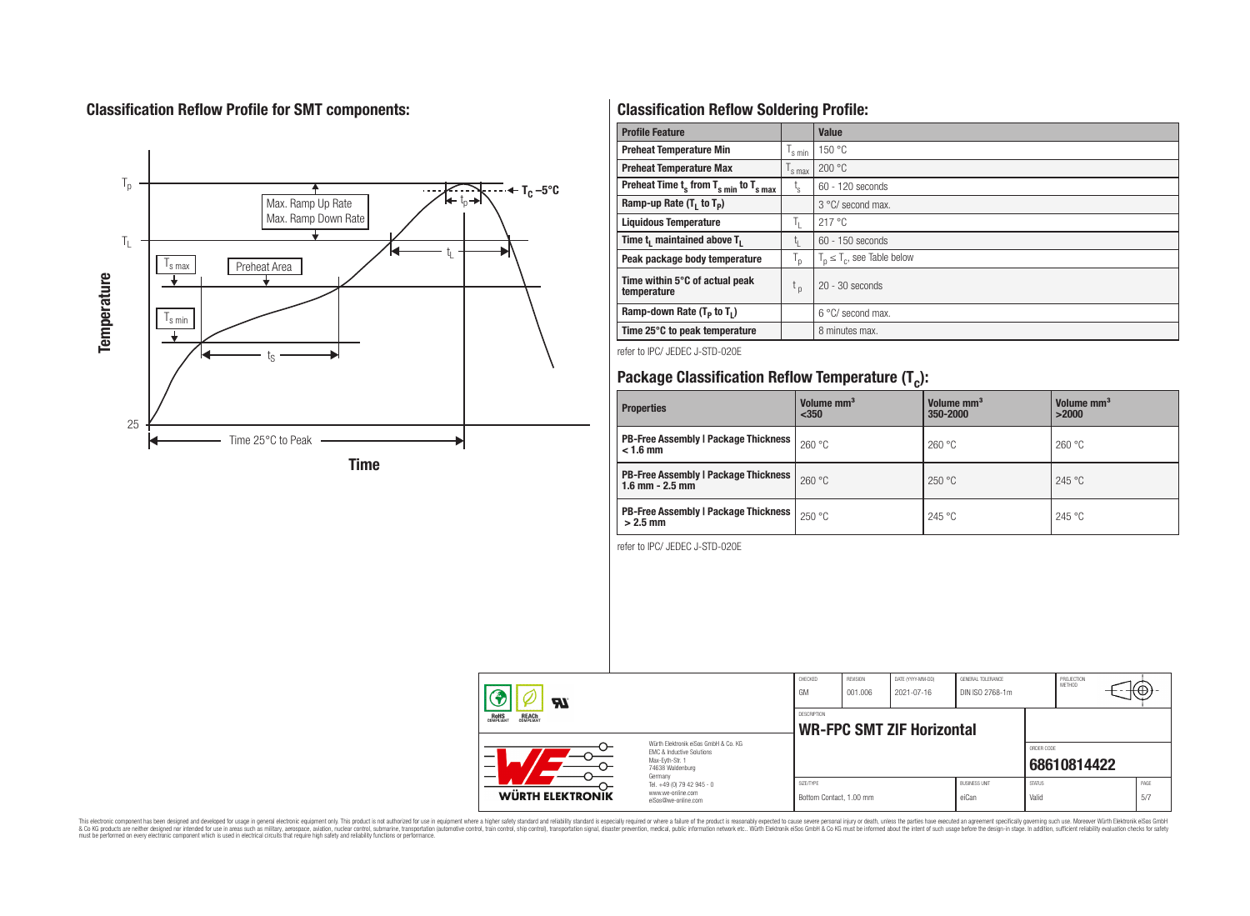# **Classification Reflow Profile for SMT components:**



# **Classification Reflow Soldering Profile:**

| <b>Profile Feature</b>                              |                               | Value                            |
|-----------------------------------------------------|-------------------------------|----------------------------------|
| <b>Preheat Temperature Min</b>                      | 's min                        | 150 °C                           |
| <b>Preheat Temperature Max</b>                      | $\frac{1}{s}$ max             | 200 °C                           |
| Preheat Time $t_s$ from $T_{s min}$ to $T_{s max}$  | t,                            | 60 - 120 seconds                 |
| Ramp-up Rate $(T_1$ to $T_p$ )                      |                               | 3 °C/ second max.                |
| <b>Liquidous Temperature</b>                        | ъ.                            | 217 °C                           |
| Time t <sub>i</sub> maintained above T <sub>1</sub> | t,                            | $60 - 150$ seconds               |
| Peak package body temperature                       | T <sub>o</sub>                | $T_p \leq T_c$ , see Table below |
| Time within 5°C of actual peak<br>temperature       | $\mathfrak{c}_{\mathfrak{p}}$ | $20 - 30$ seconds                |
| Ramp-down Rate $(T_p$ to $T_1$ )                    |                               | $6^{\circ}$ C/ second max.       |
| Time 25°C to peak temperature                       |                               | 8 minutes max.                   |

refer to IPC/ JEDEC J-STD-020E

# **Package Classification Reflow Temperature (T<sup>c</sup> ):**

| <b>Properties</b>                                                    | Volume mm <sup>3</sup><br>$350$ | Volume mm <sup>3</sup><br>350-2000 | Volume mm <sup>3</sup><br>>2000 |  |
|----------------------------------------------------------------------|---------------------------------|------------------------------------|---------------------------------|--|
| <b>PB-Free Assembly   Package Thickness</b><br>$< 1.6$ mm            | 260 °C                          | 260 °C                             | 260 °C                          |  |
| <b>PB-Free Assembly   Package Thickness  </b><br>$1.6$ mm $- 2.5$ mm | 260 °C                          | 250 °C                             | 245 °C                          |  |
| <b>PB-Free Assembly   Package Thickness  </b><br>$>2.5$ mm           | 250 °C                          | 245 °C                             | 245 °C                          |  |

refer to IPC/ JEDEC J-STD-020E

| <b>R</b>                                       |                                                                                                                     | CHECKED<br>GM                                          | REVISION<br>001.006 | DATE (YYYY-MM-DD)<br>2021-07-16 | GENERAL TOLERANCE<br>DIN ISO 2768-1m |                        | PROJECTION<br><b>METHOD</b> |  |             |
|------------------------------------------------|---------------------------------------------------------------------------------------------------------------------|--------------------------------------------------------|---------------------|---------------------------------|--------------------------------------|------------------------|-----------------------------|--|-------------|
| ROHS<br>COMPLIANT<br><b>REACH</b><br>COMPLIANT |                                                                                                                     | <b>DESCRIPTION</b><br><b>WR-FPC SMT ZIF Horizontal</b> |                     |                                 |                                      |                        |                             |  |             |
| _                                              | Würth Elektronik eiSos GmbH & Co. KG<br>EMC & Inductive Solutions<br>Max-Evth-Str. 1<br>74638 Waldenburg<br>Germany |                                                        |                     |                                 |                                      | ORDER CODE             | 68610814422                 |  |             |
| WÜRTH ELEKTRONIK                               | Tel. +49 (0) 79 42 945 - 0<br>www.we-online.com<br>eiSos@we-online.com                                              | SIZE/TYPE<br>Bottom Contact, 1.00 mm                   |                     |                                 | <b>BUSINESS UNIT</b><br>eiCan        | <b>STATUS</b><br>Valid |                             |  | PAGE<br>5/7 |

This electronic component has been designed and developed for usage in general electronic equipment only. This product is not authorized for subserved requipment where a higher selection equipment where a higher selection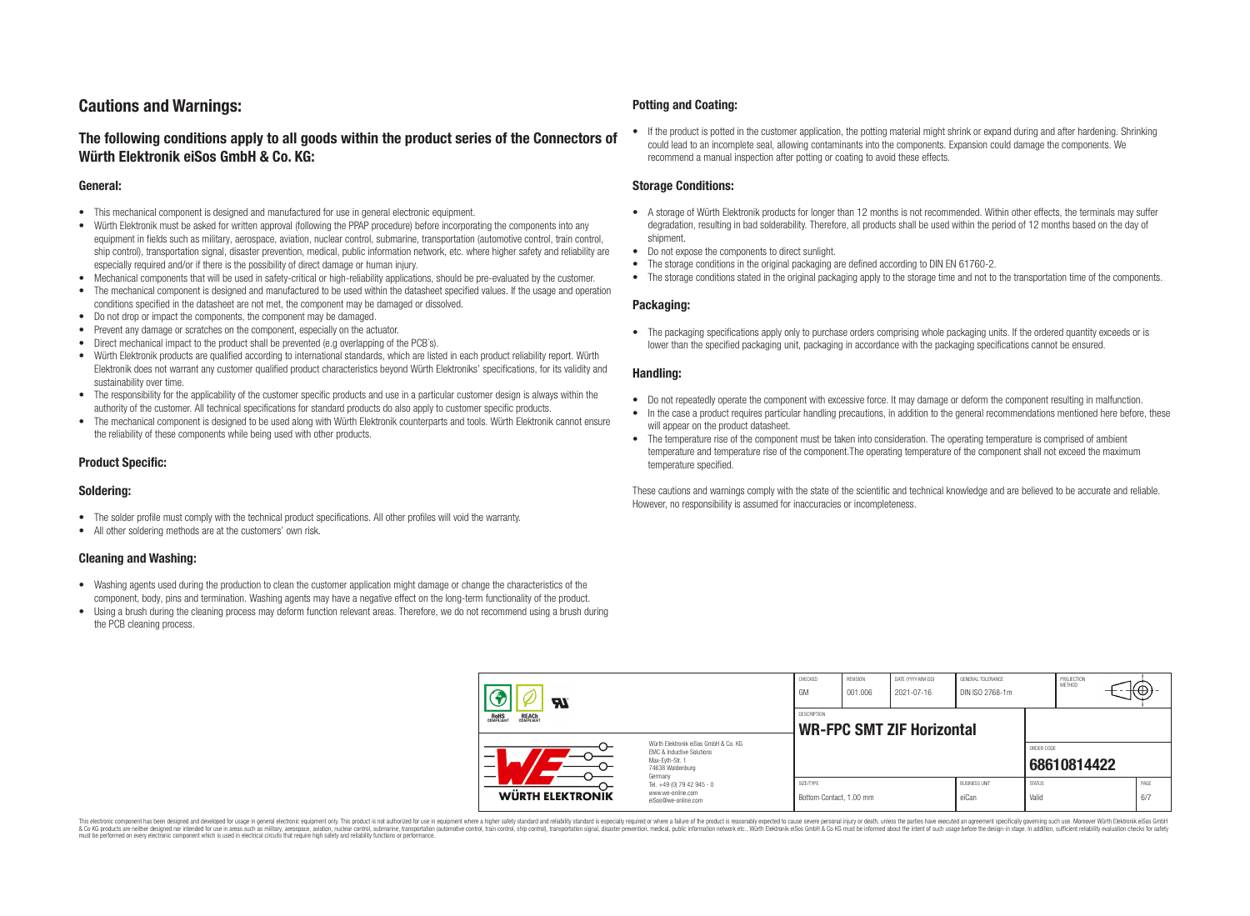# **Cautions and Warnings:**

## **The following conditions apply to all goods within the product series of the Connectors of Würth Elektronik eiSos GmbH & Co. KG:**

#### **General:**

- This mechanical component is designed and manufactured for use in general electronic equipment.
- Würth Elektronik must be asked for written approval (following the PPAP procedure) before incorporating the components into any equipment in fields such as military, aerospace, aviation, nuclear control, submarine, transportation (automotive control, train control, ship control), transportation signal, disaster prevention, medical, public information network, etc. where higher safety and reliability are especially required and/or if there is the possibility of direct damage or human injury.
- Mechanical components that will be used in safety-critical or high-reliability applications, should be pre-evaluated by the customer.
- The mechanical component is designed and manufactured to be used within the datasheet specified values. If the usage and operation conditions specified in the datasheet are not met, the component may be damaged or dissolved.
- Do not drop or impact the components, the component may be damaged.
- Prevent any damage or scratches on the component, especially on the actuator.
- Direct mechanical impact to the product shall be prevented (e.g overlapping of the PCB's).
- Würth Elektronik products are qualified according to international standards, which are listed in each product reliability report. Würth Elektronik does not warrant any customer qualified product characteristics beyond Würth Elektroniks' specifications, for its validity and sustainability over time.
- The responsibility for the applicability of the customer specific products and use in a particular customer design is always within the authority of the customer. All technical specifications for standard products do also apply to customer specific products.
- The mechanical component is designed to be used along with Würth Elektronik counterparts and tools. Würth Elektronik cannot ensure the reliability of these components while being used with other products.

#### **Product Specific:**

#### **Soldering:**

- The solder profile must comply with the technical product specifications. All other profiles will void the warranty.
- All other soldering methods are at the customers' own risk.

#### **Cleaning and Washing:**

- Washing agents used during the production to clean the customer application might damage or change the characteristics of the component, body, pins and termination. Washing agents may have a negative effect on the long-term functionality of the product.
- Using a brush during the cleaning process may deform function relevant areas. Therefore, we do not recommend using a brush during the PCB cleaning process.

#### **Potting and Coating:**

• If the product is potted in the customer application, the potting material might shrink or expand during and after hardening. Shrinking could lead to an incomplete seal, allowing contaminants into the components. Expansion could damage the components. We recommend a manual inspection after potting or coating to avoid these effects.

#### **Storage Conditions:**

- A storage of Würth Elektronik products for longer than 12 months is not recommended. Within other effects, the terminals may suffer degradation, resulting in bad solderability. Therefore, all products shall be used within the period of 12 months based on the day of shipment.
- Do not expose the components to direct sunlight.
- The storage conditions in the original packaging are defined according to DIN EN 61760-2.
- The storage conditions stated in the original packaging apply to the storage time and not to the transportation time of the components.

#### **Packaging:**

• The packaging specifications apply only to purchase orders comprising whole packaging units. If the ordered quantity exceeds or is lower than the specified packaging unit, packaging in accordance with the packaging specifications cannot be ensured.

#### **Handling:**

- Do not repeatedly operate the component with excessive force. It may damage or deform the component resulting in malfunction.
- In the case a product requires particular handling precautions, in addition to the general recommendations mentioned here before, these will appear on the product datasheet
- The temperature rise of the component must be taken into consideration. The operating temperature is comprised of ambient temperature and temperature rise of the component.The operating temperature of the component shall not exceed the maximum temperature specified.

These cautions and warnings comply with the state of the scientific and technical knowledge and are believed to be accurate and reliable. However, no responsibility is assumed for inaccuracies or incompleteness.

| $\boldsymbol{\mathcal{H}}$                                                                                                                                      |                                                                                   | CHECKED<br>GM                                          | REVISION<br>001.006 | DATE (YYYY-MM-DD)<br>2021-07-16 | GENERAL TOLERANCE<br>DIN ISO 2768-1m |                           | PROJECTION<br><b>METHOD</b> |  | ι€Ψ         |
|-----------------------------------------------------------------------------------------------------------------------------------------------------------------|-----------------------------------------------------------------------------------|--------------------------------------------------------|---------------------|---------------------------------|--------------------------------------|---------------------------|-----------------------------|--|-------------|
| ROHS<br>COMPLIANT<br><b>REACH</b><br>COMPLIANT<br>Würth Elektronik eiSos GmbH & Co. KG<br>EMC & Inductive Solutions<br>–<br>Max-Evth-Str. 1<br>74638 Waldenburg |                                                                                   | <b>DESCRIPTION</b><br><b>WR-FPC SMT ZIF Horizontal</b> |                     |                                 |                                      |                           |                             |  |             |
|                                                                                                                                                                 |                                                                                   |                                                        |                     |                                 |                                      | ORDER CODE<br>68610814422 |                             |  |             |
| WÜRTH ELEKTRONIK                                                                                                                                                | Germany<br>Tel. +49 (0) 79 42 945 - 0<br>www.we-online.com<br>eiSos@we-online.com | SIZE/TYPE<br>Bottom Contact, 1.00 mm                   |                     |                                 | <b>BUSINESS UNIT</b><br>eiCan        | <b>STATUS</b><br>Valid    |                             |  | PAGE<br>6/7 |

This electronic component has been designed and developed for usage in general electronic equipment only. This product is not authorized for use in equipment where a higher safety standard and reliability standard si espec & Ook product a label and the membed of the seasuch as marked and as which such a membed and the such assume that income in the seasuch and the simulation and the such assume that include to the such a membed and the such